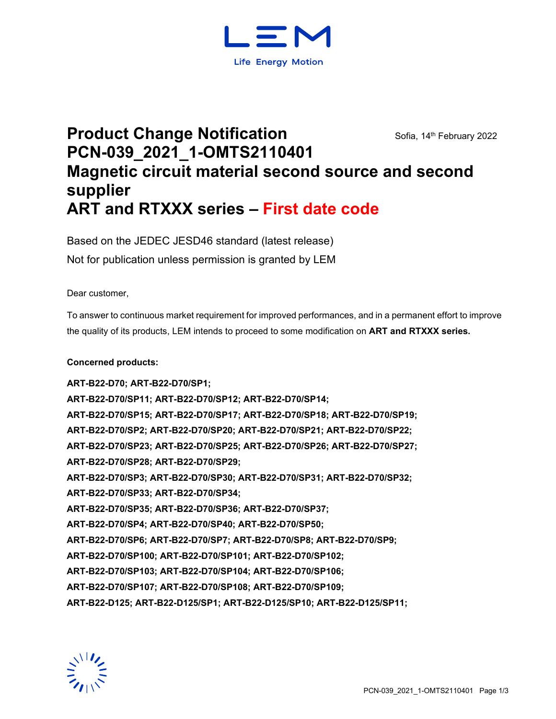

# **Product Change Notification** Sofia, 14th February 2022 **PCN-039\_2021\_1-OMTS2110401 Magnetic circuit material second source and second supplier ART and RTXXX series – First date code**

Based on the JEDEC JESD46 standard (latest release) Not for publication unless permission is granted by LEM

Dear customer,

To answer to continuous market requirement for improved performances, and in a permanent effort to improve the quality of its products, LEM intends to proceed to some modification on **ART and RTXXX series.**

### **Concerned products:**

**ART-B22-D70; ART-B22-D70/SP1; ART-B22-D70/SP11; ART-B22-D70/SP12; ART-B22-D70/SP14; ART-B22-D70/SP15; ART-B22-D70/SP17; ART-B22-D70/SP18; ART-B22-D70/SP19; ART-B22-D70/SP2; ART-B22-D70/SP20; ART-B22-D70/SP21; ART-B22-D70/SP22; ART-B22-D70/SP23; ART-B22-D70/SP25; ART-B22-D70/SP26; ART-B22-D70/SP27; ART-B22-D70/SP28; ART-B22-D70/SP29; ART-B22-D70/SP3; ART-B22-D70/SP30; ART-B22-D70/SP31; ART-B22-D70/SP32; ART-B22-D70/SP33; ART-B22-D70/SP34; ART-B22-D70/SP35; ART-B22-D70/SP36; ART-B22-D70/SP37; ART-B22-D70/SP4; ART-B22-D70/SP40; ART-B22-D70/SP50; ART-B22-D70/SP6; ART-B22-D70/SP7; ART-B22-D70/SP8; ART-B22-D70/SP9; ART-B22-D70/SP100; ART-B22-D70/SP101; ART-B22-D70/SP102; ART-B22-D70/SP103; ART-B22-D70/SP104; ART-B22-D70/SP106; ART-B22-D70/SP107; ART-B22-D70/SP108; ART-B22-D70/SP109; ART-B22-D125; ART-B22-D125/SP1; ART-B22-D125/SP10; ART-B22-D125/SP11;** 

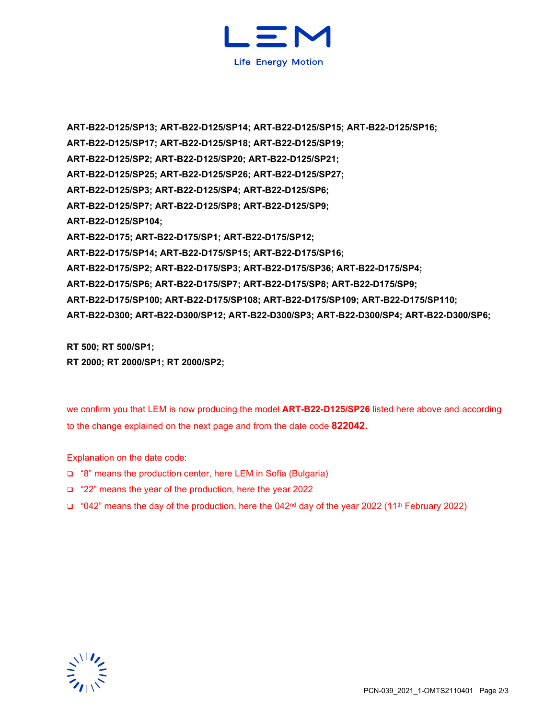

**ART-B22-D125/SP13; ART-B22-D125/SP14; ART-B22-D125/SP15; ART-B22-D125/SP16; ART-B22-D125/SP17; ART-B22-D125/SP18; ART-B22-D125/SP19; ART-B22-D125/SP2; ART-B22-D125/SP20; ART-B22-D125/SP21; ART-B22-D125/SP25; ART-B22-D125/SP26; ART-B22-D125/SP27; ART-B22-D125/SP3; ART-B22-D125/SP4; ART-B22-D125/SP6; ART-B22-D125/SP7; ART-B22-D125/SP8; ART-B22-D125/SP9; ART-B22-D125/SP104; ART-B22-D175; ART-B22-D175/SP1; ART-B22-D175/SP12; ART-B22-D175/SP14; ART-B22-D175/SP15; ART-B22-D175/SP16; ART-B22-D175/SP2; ART-B22-D175/SP3; ART-B22-D175/SP36; ART-B22-D175/SP4; ART-B22-D175/SP6; ART-B22-D175/SP7; ART-B22-D175/SP8; ART-B22-D175/SP9; ART-B22-D175/SP100; ART-B22-D175/SP108; ART-B22-D175/SP109; ART-B22-D175/SP110; ART-B22-D300; ART-B22-D300/SP12; ART-B22-D300/SP3; ART-B22-D300/SP4; ART-B22-D300/SP6;** 

**RT 500; RT 500/SP1; RT 2000; RT 2000/SP1; RT 2000/SP2;**

we confirm you that LEM is now producing the model **ART-B22-D125/SP26** listed here above and according to the change explained on the next page and from the date code **822042.**

Explanation on the date code:

- □ "8" means the production center, here LEM in Sofia (Bulgaria)
- "22" means the year of the production, here the year 2022
- $\Box$  "042" means the day of the production, here the 042<sup>nd</sup> day of the year 2022 (11<sup>th</sup> February 2022)